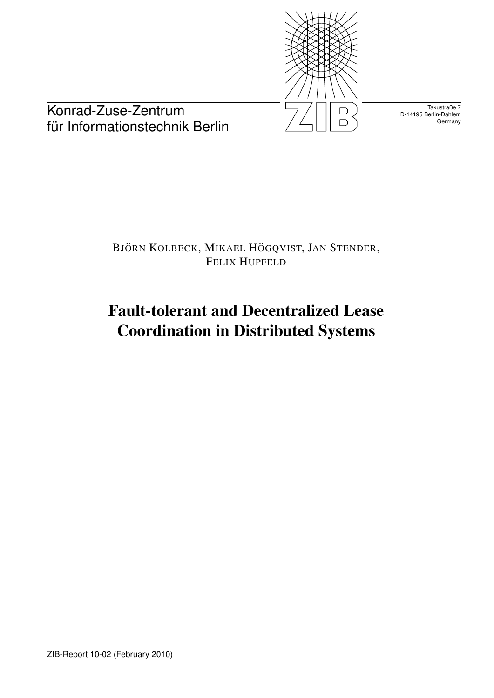

Takustraße 7 D-14195 Berlin-Dahlem **Germany** 

Konrad-Zuse-Zentrum für Informationstechnik Berlin

# BJÖRN KOLBECK, MIKAEL HÖGQVIST, JAN STENDER, FELIX HUPFELD

# Fault-tolerant and Decentralized Lease Coordination in Distributed Systems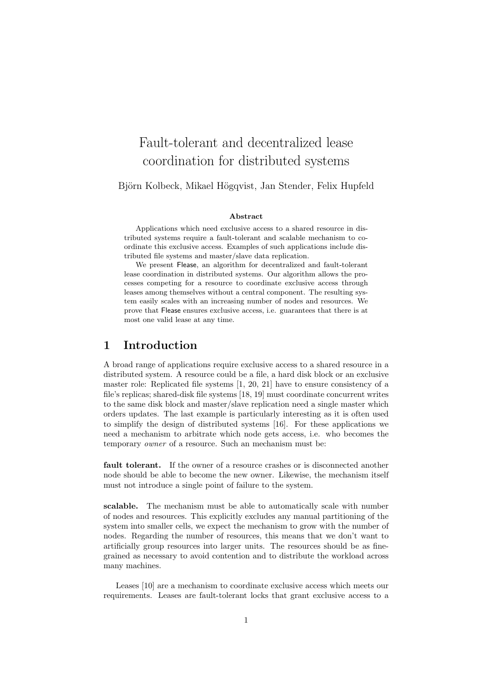# Fault-tolerant and decentralized lease coordination for distributed systems

Björn Kolbeck, Mikael Högqvist, Jan Stender, Felix Hupfeld

#### Abstract

Applications which need exclusive access to a shared resource in distributed systems require a fault-tolerant and scalable mechanism to coordinate this exclusive access. Examples of such applications include distributed file systems and master/slave data replication.

We present Flease, an algorithm for decentralized and fault-tolerant lease coordination in distributed systems. Our algorithm allows the processes competing for a resource to coordinate exclusive access through leases among themselves without a central component. The resulting system easily scales with an increasing number of nodes and resources. We prove that Flease ensures exclusive access, i.e. guarantees that there is at most one valid lease at any time.

## 1 Introduction

A broad range of applications require exclusive access to a shared resource in a distributed system. A resource could be a file, a hard disk block or an exclusive master role: Replicated file systems [1, 20, 21] have to ensure consistency of a file's replicas; shared-disk file systems [18, 19] must coordinate concurrent writes to the same disk block and master/slave replication need a single master which orders updates. The last example is particularly interesting as it is often used to simplify the design of distributed systems [16]. For these applications we need a mechanism to arbitrate which node gets access, i.e. who becomes the temporary owner of a resource. Such an mechanism must be:

fault tolerant. If the owner of a resource crashes or is disconnected another node should be able to become the new owner. Likewise, the mechanism itself must not introduce a single point of failure to the system.

scalable. The mechanism must be able to automatically scale with number of nodes and resources. This explicitly excludes any manual partitioning of the system into smaller cells, we expect the mechanism to grow with the number of nodes. Regarding the number of resources, this means that we don't want to artificially group resources into larger units. The resources should be as finegrained as necessary to avoid contention and to distribute the workload across many machines.

Leases [10] are a mechanism to coordinate exclusive access which meets our requirements. Leases are fault-tolerant locks that grant exclusive access to a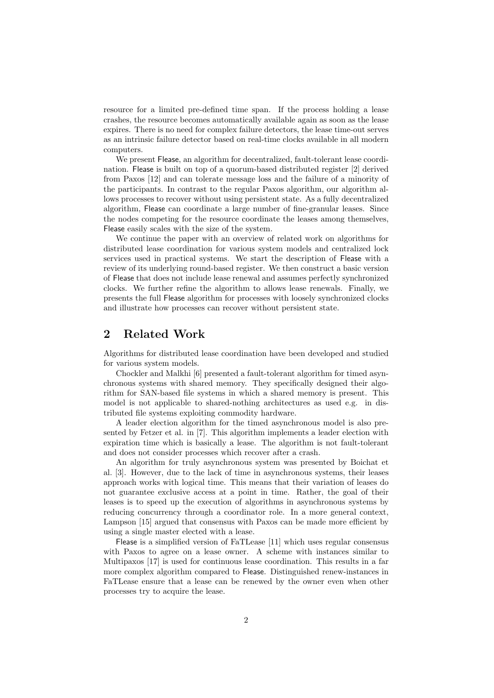resource for a limited pre-defined time span. If the process holding a lease crashes, the resource becomes automatically available again as soon as the lease expires. There is no need for complex failure detectors, the lease time-out serves as an intrinsic failure detector based on real-time clocks available in all modern computers.

We present Flease, an algorithm for decentralized, fault-tolerant lease coordination. Flease is built on top of a quorum-based distributed register [2] derived from Paxos [12] and can tolerate message loss and the failure of a minority of the participants. In contrast to the regular Paxos algorithm, our algorithm allows processes to recover without using persistent state. As a fully decentralized algorithm, Flease can coordinate a large number of fine-granular leases. Since the nodes competing for the resource coordinate the leases among themselves, Flease easily scales with the size of the system.

We continue the paper with an overview of related work on algorithms for distributed lease coordination for various system models and centralized lock services used in practical systems. We start the description of Flease with a review of its underlying round-based register. We then construct a basic version of Flease that does not include lease renewal and assumes perfectly synchronized clocks. We further refine the algorithm to allows lease renewals. Finally, we presents the full Flease algorithm for processes with loosely synchronized clocks and illustrate how processes can recover without persistent state.

# 2 Related Work

Algorithms for distributed lease coordination have been developed and studied for various system models.

Chockler and Malkhi [6] presented a fault-tolerant algorithm for timed asynchronous systems with shared memory. They specifically designed their algorithm for SAN-based file systems in which a shared memory is present. This model is not applicable to shared-nothing architectures as used e.g. in distributed file systems exploiting commodity hardware.

A leader election algorithm for the timed asynchronous model is also presented by Fetzer et al. in [7]. This algorithm implements a leader election with expiration time which is basically a lease. The algorithm is not fault-tolerant and does not consider processes which recover after a crash.

An algorithm for truly asynchronous system was presented by Boichat et al. [3]. However, due to the lack of time in asynchronous systems, their leases approach works with logical time. This means that their variation of leases do not guarantee exclusive access at a point in time. Rather, the goal of their leases is to speed up the execution of algorithms in asynchronous systems by reducing concurrency through a coordinator role. In a more general context, Lampson [15] argued that consensus with Paxos can be made more efficient by using a single master elected with a lease.

Flease is a simplified version of FaTLease [11] which uses regular consensus with Paxos to agree on a lease owner. A scheme with instances similar to Multipaxos [17] is used for continuous lease coordination. This results in a far more complex algorithm compared to Flease. Distinguished renew-instances in FaTLease ensure that a lease can be renewed by the owner even when other processes try to acquire the lease.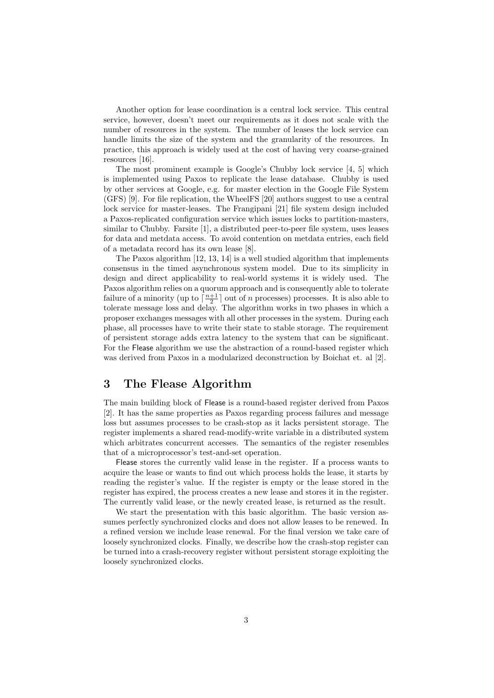Another option for lease coordination is a central lock service. This central service, however, doesn't meet our requirements as it does not scale with the number of resources in the system. The number of leases the lock service can handle limits the size of the system and the granularity of the resources. In practice, this approach is widely used at the cost of having very coarse-grained resources [16].

The most prominent example is Google's Chubby lock service [4, 5] which is implemented using Paxos to replicate the lease database. Chubby is used by other services at Google, e.g. for master election in the Google File System (GFS) [9]. For file replication, the WheelFS [20] authors suggest to use a central lock service for master-leases. The Frangipani [21] file system design included a Paxos-replicated configuration service which issues locks to partition-masters, similar to Chubby. Farsite [1], a distributed peer-to-peer file system, uses leases for data and metdata access. To avoid contention on metdata entries, each field of a metadata record has its own lease [8].

The Paxos algorithm [12, 13, 14] is a well studied algorithm that implements consensus in the timed asynchronous system model. Due to its simplicity in design and direct applicability to real-world systems it is widely used. The Paxos algorithm relies on a quorum approach and is consequently able to tolerate failure of a minority (up to  $\lceil \frac{n+1}{2} \rceil$  out of n processes) processes. It is also able to tolerate message loss and delay. The algorithm works in two phases in which a proposer exchanges messages with all other processes in the system. During each phase, all processes have to write their state to stable storage. The requirement of persistent storage adds extra latency to the system that can be significant. For the Flease algorithm we use the abstraction of a round-based register which was derived from Paxos in a modularized deconstruction by Boichat et. al [2].

# 3 The Flease Algorithm

The main building block of Flease is a round-based register derived from Paxos [2]. It has the same properties as Paxos regarding process failures and message loss but assumes processes to be crash-stop as it lacks persistent storage. The register implements a shared read-modify-write variable in a distributed system which arbitrates concurrent accesses. The semantics of the register resembles that of a microprocessor's test-and-set operation.

Flease stores the currently valid lease in the register. If a process wants to acquire the lease or wants to find out which process holds the lease, it starts by reading the register's value. If the register is empty or the lease stored in the register has expired, the process creates a new lease and stores it in the register. The currently valid lease, or the newly created lease, is returned as the result.

We start the presentation with this basic algorithm. The basic version assumes perfectly synchronized clocks and does not allow leases to be renewed. In a refined version we include lease renewal. For the final version we take care of loosely synchronized clocks. Finally, we describe how the crash-stop register can be turned into a crash-recovery register without persistent storage exploiting the loosely synchronized clocks.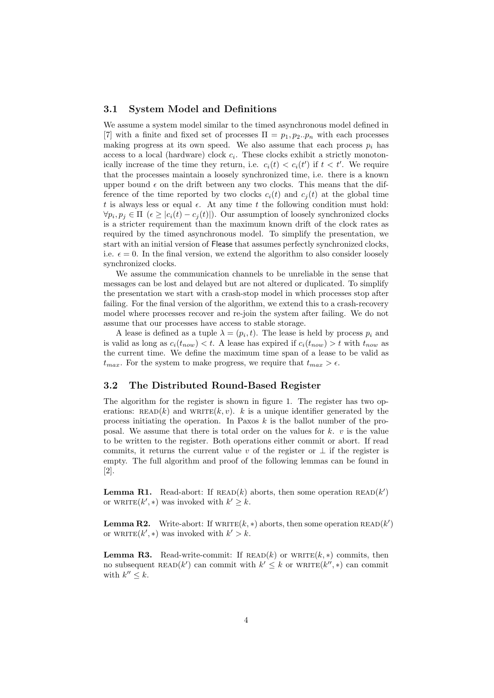#### 3.1 System Model and Definitions

We assume a system model similar to the timed asynchronous model defined in [7] with a finite and fixed set of processes  $\Pi = p_1, p_2..p_n$  with each processes making progress at its own speed. We also assume that each process  $p_i$  has access to a local (hardware) clock  $c_i$ . These clocks exhibit a strictly monotonically increase of the time they return, i.e.  $c_i(t) < c_i(t')$  if  $t < t'$ . We require that the processes maintain a loosely synchronized time, i.e. there is a known upper bound  $\epsilon$  on the drift between any two clocks. This means that the difference of the time reported by two clocks  $c_i(t)$  and  $c_j(t)$  at the global time t is always less or equal  $\epsilon$ . At any time t the following condition must hold:  $\forall p_i, p_j \in \Pi \ (\epsilon \geq |c_i(t) - c_j(t)|)$ . Our assumption of loosely synchronized clocks is a stricter requirement than the maximum known drift of the clock rates as required by the timed asynchronous model. To simplify the presentation, we start with an initial version of Flease that assumes perfectly synchronized clocks, i.e.  $\epsilon = 0$ . In the final version, we extend the algorithm to also consider loosely synchronized clocks.

We assume the communication channels to be unreliable in the sense that messages can be lost and delayed but are not altered or duplicated. To simplify the presentation we start with a crash-stop model in which processes stop after failing. For the final version of the algorithm, we extend this to a crash-recovery model where processes recover and re-join the system after failing. We do not assume that our processes have access to stable storage.

A lease is defined as a tuple  $\lambda = (p_i, t)$ . The lease is held by process  $p_i$  and is valid as long as  $c_i(t_{now}) < t$ . A lease has expired if  $c_i(t_{now}) > t$  with  $t_{now}$  as the current time. We define the maximum time span of a lease to be valid as  $t_{max}$ . For the system to make progress, we require that  $t_{max} > \epsilon$ .

#### 3.2 The Distributed Round-Based Register

The algorithm for the register is shown in figure 1. The register has two operations: READ(k) and WRITE(k, v). k is a unique identifier generated by the process initiating the operation. In Paxos  $k$  is the ballot number of the proposal. We assume that there is total order on the values for  $k$ .  $v$  is the value to be written to the register. Both operations either commit or abort. If read commits, it returns the current value v of the register or  $\perp$  if the register is empty. The full algorithm and proof of the following lemmas can be found in [2].

**Lemma R1.** Read-abort: If  $\text{READ}(k)$  aborts, then some operation  $\text{READ}(k')$ or WRITE $(k',*)$  was invoked with  $k' \geq k$ .

**Lemma R2.** Write-abort: If  $\text{WRITE}(k, *)$  aborts, then some operation  $\text{READ}(k')$ or WRITE $(k',*)$  was invoked with  $k' > k$ .

**Lemma R3.** Read-write-commit: If  $\text{READ}(k)$  or  $\text{WRITE}(k, *)$  commits, then no subsequent READ(k') can commit with  $k' \leq k$  or WRITE(k'', \*) can commit with  $k'' \leq k$ .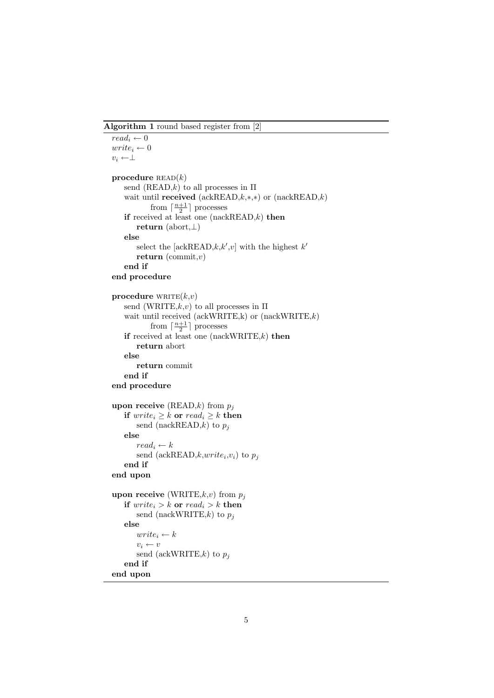Algorithm 1 round based register from [2]

```
\overline{read_i \leftarrow 0}write_i \leftarrow 0v_i \leftarrow \perpprocedure \text{READ}(k)send (READ,k) to all processes in \Piwait until received (ackREAD,k,*,*) or (nackREAD,k)
            from \lceil \frac{n+1}{2} \rceil processes
   if received at least one (nackREAD, k) then
       return (abort,⊥)
   else
       select the [ackREAD,k, k', v] with the highest k'return (commit,v)end if
end procedure
procedure \text{WRITE}(k, v)send (WRITE,k, v) to all processes in \Piwait until received (ackWRITE,k) or (nackWRITE,k)from \lceil \frac{n+1}{2} \rceil processes
   if received at least one (nackWRITE,k) then
       return abort
   else
       return commit
   end if
end procedure
upon receive (READ,k) from p_iif write_i \geq k or read_i \geq k then
       send (nackREAD,k) to p_jelse
       read_i \leftarrow ksend (ackREAD,k, write_i, v_i) to p_jend if
end upon
upon receive (WRITE,k, v) from p_jif write_i > k or read_i > k then
       send (nackWRITE,k) to p_jelse
       write_i \leftarrow kv_i \leftarrow vsend (ackWRITE,k) to p_iend if
end upon
```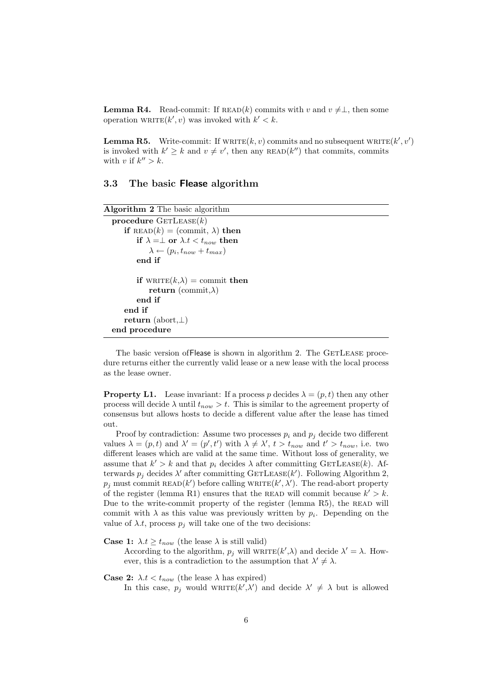**Lemma R4.** Read-commit: If  $\text{READ}(k)$  commits with v and  $v \neq \perp$ , then some operation  $\text{WRITE}(k', v)$  was invoked with  $k' < k$ .

**Lemma R5.** Write-commit: If  $\text{WRITE}(k, v)$  commits and no subsequent  $\text{WRITE}(k', v')$ is invoked with  $k' \geq k$  and  $v \neq v'$ , then any READ(k'') that commits, commits with v if  $k'' > k$ .

#### 3.3 The basic Flease algorithm

```
Algorithm 2 The basic algorithm
  procedure \text{GETLEASE}(k)if READ(k) = (commit, \lambda) then
           if \lambda = \perp or \lambda.t < t_{now} then
               \lambda \leftarrow (p_i, t_{now} + t_{max})end if
           if \text{WRITE}(k, \lambda) = \text{commit} then
               return (commit,\lambda)
           end if
      end if
      return (abort,⊥)
  end procedure
```
The basic version of Flease is shown in algorithm 2. The GETLEASE procedure returns either the currently valid lease or a new lease with the local process as the lease owner.

**Property L1.** Lease invariant: If a process p decides  $\lambda = (p, t)$  then any other process will decide  $\lambda$  until  $t_{now} > t$ . This is similar to the agreement property of consensus but allows hosts to decide a different value after the lease has timed out.

Proof by contradiction: Assume two processes  $p_i$  and  $p_j$  decide two different values  $\lambda = (p, t)$  and  $\lambda' = (p', t')$  with  $\lambda \neq \lambda', t > t_{now}$  and  $t' > t_{now}$ , i.e. two different leases which are valid at the same time. Without loss of generality, we assume that  $k' > k$  and that  $p_i$  decides  $\lambda$  after committing GETLEASE(k). Afterwards  $p_j$  decides  $\lambda'$  after committing GETLEASE(k'). Following Algorithm 2,  $p_j$  must commit READ(k') before calling WRITE(k',  $\lambda'$ ). The read-abort property of the register (lemma R1) ensures that the READ will commit because  $k' > k$ . Due to the write-commit property of the register (lemma R5), the READ will commit with  $\lambda$  as this value was previously written by  $p_i$ . Depending on the value of  $\lambda.t$ , process  $p_i$  will take one of the two decisions:

**Case 1:**  $\lambda t > t_{now}$  (the lease  $\lambda$  is still valid)

According to the algorithm,  $p_j$  will  $\text{WRITE}(k', \lambda)$  and decide  $\lambda' = \lambda$ . However, this is a contradiction to the assumption that  $\lambda' \neq \lambda$ .

**Case 2:**  $\lambda.t < t_{now}$  (the lease  $\lambda$  has expired) In this case,  $p_j$  would  $\text{WRITE}(k', \lambda')$  and decide  $\lambda' \neq \lambda$  but is allowed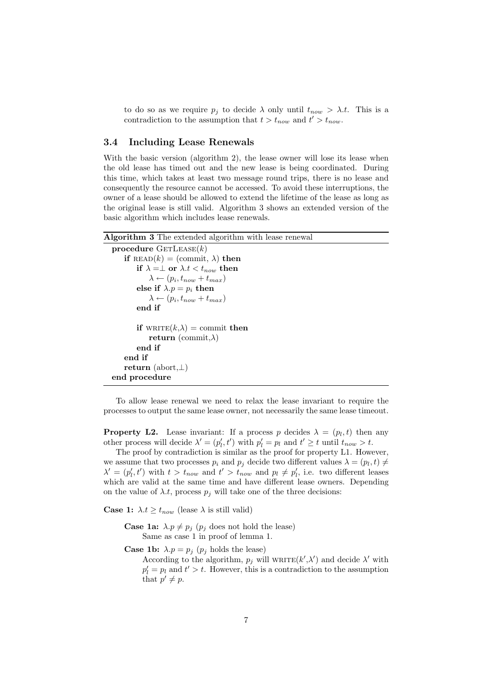to do so as we require  $p_i$  to decide  $\lambda$  only until  $t_{now} > \lambda.t$ . This is a contradiction to the assumption that  $t > t_{now}$  and  $t' > t_{now}$ .

#### 3.4 Including Lease Renewals

With the basic version (algorithm 2), the lease owner will lose its lease when the old lease has timed out and the new lease is being coordinated. During this time, which takes at least two message round trips, there is no lease and consequently the resource cannot be accessed. To avoid these interruptions, the owner of a lease should be allowed to extend the lifetime of the lease as long as the original lease is still valid. Algorithm 3 shows an extended version of the basic algorithm which includes lease renewals.

Algorithm 3 The extended algorithm with lease renewal

```
procedure \text{GETLEASE}(k)if READ(k) = (commit, \lambda) then
        if \lambda = \perp or \lambda.t < t_{now} then
              \lambda \leftarrow (p_i, t_{now} + t_{max})else if \lambda.p = p_i then
              \lambda \leftarrow (p_i, t_{now} + t_{max})end if
         if \text{WRITE}(k,\lambda) = \text{commit} then
             return (commit,\lambda)
         end if
    end if
    return (abort,⊥)
end procedure
```
To allow lease renewal we need to relax the lease invariant to require the processes to output the same lease owner, not necessarily the same lease timeout.

**Property L2.** Lease invariant: If a process p decides  $\lambda = (p_l, t)$  then any other process will decide  $\lambda' = (p'_l, t')$  with  $p'_l = p_l$  and  $t' \geq t$  until  $t_{now} > t$ .

The proof by contradiction is similar as the proof for property L1. However, we assume that two processes  $p_i$  and  $p_j$  decide two different values  $\lambda = (p_l, t) \neq$  $\lambda' = (p'_l, t')$  with  $t > t_{now}$  and  $t' > t_{now}$  and  $p_l \neq p'_l$ , i.e. two different leases which are valid at the same time and have different lease owners. Depending on the value of  $\lambda.t$ , process  $p_j$  will take one of the three decisions:

**Case 1:**  $\lambda \cdot t \geq t_{now}$  (lease  $\lambda$  is still valid)

**Case 1a:**  $\lambda.p \neq p_j$  ( $p_j$  does not hold the lease) Same as case 1 in proof of lemma 1.

**Case 1b:**  $\lambda.p = p_j$  ( $p_j$  holds the lease)

According to the algorithm,  $p_j$  will  $\text{WRITE}(k', \lambda')$  and decide  $\lambda'$  with  $p'_l = p_l$  and  $t' > t$ . However, this is a contradiction to the assumption that  $p' \neq p$ .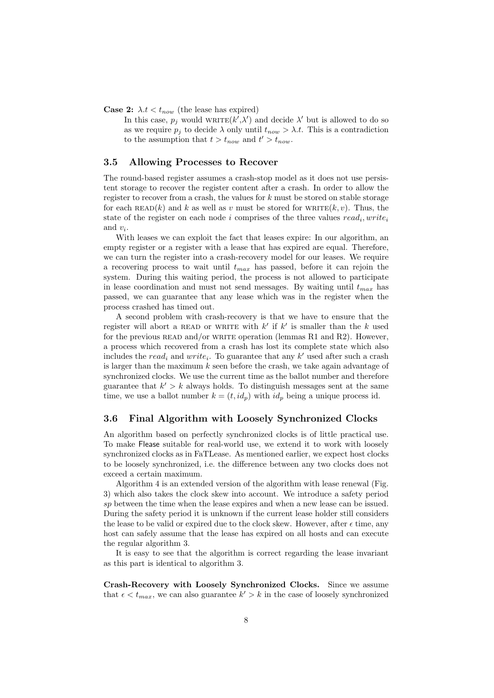**Case 2:**  $\lambda \cdot t < t_{now}$  (the lease has expired)

In this case,  $p_j$  would  $\text{WRITE}(k', \lambda')$  and decide  $\lambda'$  but is allowed to do so as we require  $p_i$  to decide  $\lambda$  only until  $t_{now} > \lambda.t$ . This is a contradiction to the assumption that  $t > t_{now}$  and  $t' > t_{now}$ .

#### 3.5 Allowing Processes to Recover

The round-based register assumes a crash-stop model as it does not use persistent storage to recover the register content after a crash. In order to allow the register to recover from a crash, the values for  $k$  must be stored on stable storage for each READ(k) and k as well as v must be stored for WRITE(k, v). Thus, the state of the register on each node i comprises of the three values  $read_i, write_i$ and  $v_i$ .

With leases we can exploit the fact that leases expire: In our algorithm, an empty register or a register with a lease that has expired are equal. Therefore, we can turn the register into a crash-recovery model for our leases. We require a recovering process to wait until  $t_{max}$  has passed, before it can rejoin the system. During this waiting period, the process is not allowed to participate in lease coordination and must not send messages. By waiting until  $t_{max}$  has passed, we can guarantee that any lease which was in the register when the process crashed has timed out.

A second problem with crash-recovery is that we have to ensure that the register will abort a READ or WRITE with  $k'$  if  $k'$  is smaller than the k used for the previous READ and/or WRITE operation (lemmas R1 and R2). However, a process which recovered from a crash has lost its complete state which also includes the  $read_i$  and  $write_i$ . To guarantee that any k' used after such a crash is larger than the maximum  $k$  seen before the crash, we take again advantage of synchronized clocks. We use the current time as the ballot number and therefore guarantee that  $k' > k$  always holds. To distinguish messages sent at the same time, we use a ballot number  $k = (t, id_p)$  with  $id_p$  being a unique process id.

#### 3.6 Final Algorithm with Loosely Synchronized Clocks

An algorithm based on perfectly synchronized clocks is of little practical use. To make Flease suitable for real-world use, we extend it to work with loosely synchronized clocks as in FaTLease. As mentioned earlier, we expect host clocks to be loosely synchronized, i.e. the difference between any two clocks does not exceed a certain maximum.

Algorithm 4 is an extended version of the algorithm with lease renewal (Fig. 3) which also takes the clock skew into account. We introduce a safety period sp between the time when the lease expires and when a new lease can be issued. During the safety period it is unknown if the current lease holder still considers the lease to be valid or expired due to the clock skew. However, after  $\epsilon$  time, any host can safely assume that the lease has expired on all hosts and can execute the regular algorithm 3.

It is easy to see that the algorithm is correct regarding the lease invariant as this part is identical to algorithm 3.

Crash-Recovery with Loosely Synchronized Clocks. Since we assume that  $\epsilon < t_{max}$ , we can also guarantee  $k' > k$  in the case of loosely synchronized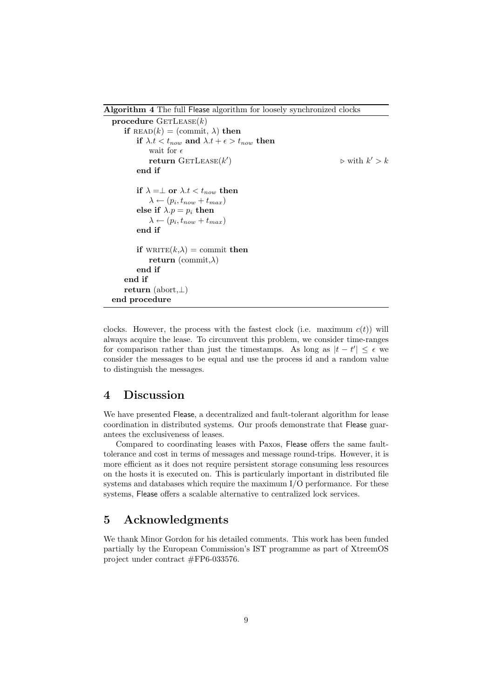Algorithm 4 The full Flease algorithm for loosely synchronized clocks

```
procedure \text{GETLEASE}(k)if \text{READ}(k) = (\text{commit}, \lambda) then
        if \lambda.t < t_{now} and \lambda.t + \epsilon > t_{now} then
             wait for \epsilonreturn \text{GETLEASE}(k')) \triangleright with k' > kend if
        if \lambda = \perp or \lambda.t < t_{now} then
             \lambda \leftarrow (p_i, t_{now} + t_{max})else if \lambda.p = p_i then
             \lambda \leftarrow (p_i, t_{now} + t_{max})end if
        if \text{wRITE}(k, \lambda) = \text{commit} then
             return (commit,\lambda)
         end if
    end if
    return (abort,⊥)
end procedure
```
clocks. However, the process with the fastest clock (i.e. maximum  $c(t)$ ) will always acquire the lease. To circumvent this problem, we consider time-ranges for comparison rather than just the timestamps. As long as  $|t - t'| \leq \epsilon$  we consider the messages to be equal and use the process id and a random value to distinguish the messages.

### 4 Discussion

We have presented Flease, a decentralized and fault-tolerant algorithm for lease coordination in distributed systems. Our proofs demonstrate that Flease guarantees the exclusiveness of leases.

Compared to coordinating leases with Paxos, Flease offers the same faulttolerance and cost in terms of messages and message round-trips. However, it is more efficient as it does not require persistent storage consuming less resources on the hosts it is executed on. This is particularly important in distributed file systems and databases which require the maximum I/O performance. For these systems, Flease offers a scalable alternative to centralized lock services.

# 5 Acknowledgments

We thank Minor Gordon for his detailed comments. This work has been funded partially by the European Commission's IST programme as part of XtreemOS project under contract #FP6-033576.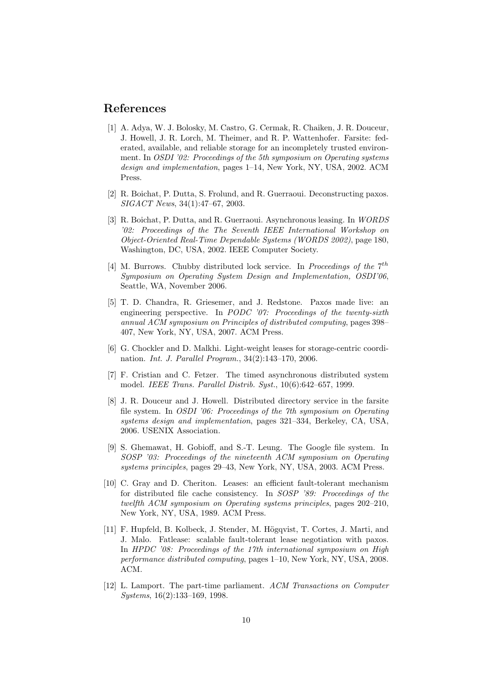## References

- [1] A. Adya, W. J. Bolosky, M. Castro, G. Cermak, R. Chaiken, J. R. Douceur, J. Howell, J. R. Lorch, M. Theimer, and R. P. Wattenhofer. Farsite: federated, available, and reliable storage for an incompletely trusted environment. In OSDI '02: Proceedings of the 5th symposium on Operating systems design and implementation, pages 1–14, New York, NY, USA, 2002. ACM Press.
- [2] R. Boichat, P. Dutta, S. Frolund, and R. Guerraoui. Deconstructing paxos. SIGACT News, 34(1):47–67, 2003.
- [3] R. Boichat, P. Dutta, and R. Guerraoui. Asynchronous leasing. In WORDS '02: Proceedings of the The Seventh IEEE International Workshop on Object-Oriented Real-Time Dependable Systems (WORDS 2002), page 180, Washington, DC, USA, 2002. IEEE Computer Society.
- [4] M. Burrows. Chubby distributed lock service. In Proceedings of the  $7<sup>th</sup>$ Symposium on Operating System Design and Implementation, OSDI'06, Seattle, WA, November 2006.
- [5] T. D. Chandra, R. Griesemer, and J. Redstone. Paxos made live: an engineering perspective. In PODC '07: Proceedings of the twenty-sixth annual ACM symposium on Principles of distributed computing, pages 398– 407, New York, NY, USA, 2007. ACM Press.
- [6] G. Chockler and D. Malkhi. Light-weight leases for storage-centric coordination. Int. J. Parallel Program., 34(2):143–170, 2006.
- [7] F. Cristian and C. Fetzer. The timed asynchronous distributed system model. IEEE Trans. Parallel Distrib. Syst., 10(6):642–657, 1999.
- [8] J. R. Douceur and J. Howell. Distributed directory service in the farsite file system. In OSDI '06: Proceedings of the 7th symposium on Operating systems design and implementation, pages 321–334, Berkeley, CA, USA, 2006. USENIX Association.
- [9] S. Ghemawat, H. Gobioff, and S.-T. Leung. The Google file system. In SOSP '03: Proceedings of the nineteenth ACM symposium on Operating systems principles, pages 29–43, New York, NY, USA, 2003. ACM Press.
- [10] C. Gray and D. Cheriton. Leases: an efficient fault-tolerant mechanism for distributed file cache consistency. In SOSP '89: Proceedings of the twelfth ACM symposium on Operating systems principles, pages 202–210, New York, NY, USA, 1989. ACM Press.
- [11] F. Hupfeld, B. Kolbeck, J. Stender, M. Högqvist, T. Cortes, J. Marti, and J. Malo. Fatlease: scalable fault-tolerant lease negotiation with paxos. In HPDC '08: Proceedings of the 17th international symposium on High performance distributed computing, pages 1–10, New York, NY, USA, 2008. ACM.
- [12] L. Lamport. The part-time parliament. ACM Transactions on Computer Systems, 16(2):133–169, 1998.